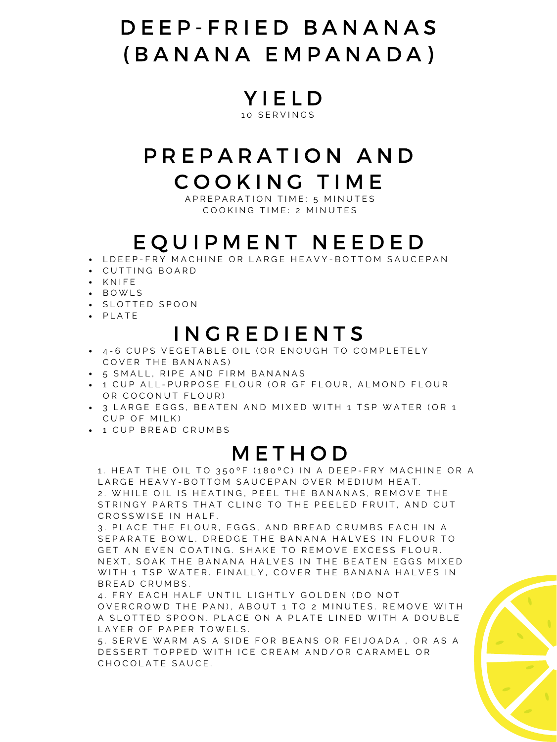## D E E P - F R I E D B A N A N A S ( B A N A N A E M P A N A D A )

Y I E L D 10 SERVINGS

# P R E P A R A T I O N A N D

#### C O O K I N G T I M E

A P R E P A R A T I O N T I M E : 5 M I N U T E S COOKING TIME: 2 MINUTES

#### I N G R E D I E N T S

- 4-6 CUPS VEGETABLE OIL (OR ENOUGH TO COMPLETELY COVER THE BANANAS)
- 5 SMALL, RIPE AND FIRM BANANAS
- $-$  1 CUP ALL-PURPOSE FLOUR (OR GF FLOUR, ALMOND FLOUR OR COCONUT FLOUR)
- 3 LARGE EGGS, BEATEN AND MIXED WITH 1 TSP WATER (OR 1 C U P O F M I L K )
- $-1$  CUP BREAD CRUMBS

#### **METHOD**

1. HEAT THE OIL TO 350°F (180°C) IN A DEEP-FRY MACHINE OR A LARGE HEAVY-BOTTOM SAUCEPAN OVER MEDIUM HEAT. 2. WHILE OIL IS HEATING, PEEL THE BANANAS, REMOVE THE STRINGY PARTS THAT CLING TO THE PEELED FRUIT, AND CUT CROSSWISE IN HALF.

3. PLACE THE FLOUR, EGGS, AND BREAD CRUMBS EACH IN A SEPARATE BOWL. DREDGE THE BANANA HALVES IN FLOUR TO GET AN EVEN COATING. SHAKE TO REMOVE EXCESS FLOUR. N E X T, SOAK THE BANANA HALVES IN THE BEATEN EGGS MIXED WITH 1 TSP WATER. FINALLY, COVER THE BANANA HALVES IN BREAD CRUMBS.

4. FRY EACH HALF UNTIL LIGHTLY GOLDEN (DO NOT OVERCROWD THE PAN), ABOUT 1 TO 2 MINUTES. REMOVE WITH A SLOTTED SPOON. PLACE ON A PLATE LINED WITH A DOUBLE LAYER OF PAPER TOWELS.

5. SERVE WARM AS A SIDE FOR BEANS OR FEIJOADA, OR AS A DESSERT TOPPED WITH ICE CREAM AND/OR CARAMEL OR CHOCOLATE SAUCE.



## E Q U I P M E N T N E E D E D

- . LDEEP-FRY MACHINE OR LARGE HEAVY-BOTTOM SAUCEPAN
- C U T T I N G B O A R D
- · KNIFE
- B O W L S
- · SLOTTED SPOON
- · PLATE